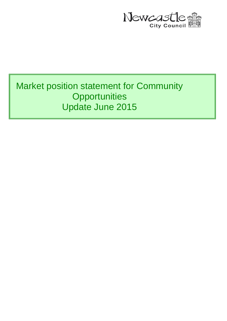

# Market position statement for Community **Opportunities** Update June 2015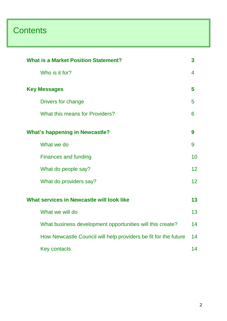# **Contents**

| <b>What is a Market Position Statement?</b><br>3                |                 |  |
|-----------------------------------------------------------------|-----------------|--|
| Who is it for?                                                  | 4               |  |
| <b>Key Messages</b>                                             | 5               |  |
| Drivers for change                                              | 5               |  |
| What this means for Providers?                                  | 6               |  |
| <b>What's happening in Newcastle?</b>                           | 9               |  |
| What we do                                                      | 9               |  |
| <b>Finances and funding</b>                                     | 10              |  |
| What do people say?                                             | 12 <sup>2</sup> |  |
| What do providers say?                                          | 12              |  |
| What services in Newcastle will look like                       | 13              |  |
| What we will do                                                 | 13              |  |
| What business development opportunities will this create?       | 14              |  |
| How Newcastle Council will help providers be fit for the future | 14              |  |
| <b>Key contacts</b>                                             | 14              |  |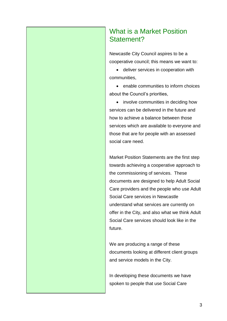# What is a Market Position Statement?

Newcastle City Council aspires to be a cooperative council; this means we want to:

 deliver services in cooperation with communities,

 enable communities to inform choices about the Council's priorities,

• involve communities in deciding how services can be delivered in the future and how to achieve a balance between those services which are available to everyone and those that are for people with an assessed social care need.

Market Position Statements are the first step towards achieving a cooperative approach to the commissioning of services. These documents are designed to help Adult Social Care providers and the people who use Adult Social Care services in Newcastle understand what services are currently on offer in the City, and also what we think Adult Social Care services should look like in the future.

We are producing a range of these documents looking at different client groups and service models in the City.

In developing these documents we have spoken to people that use Social Care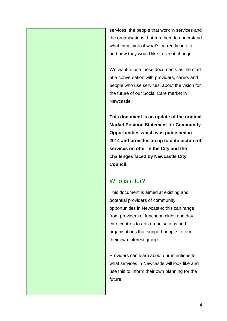services, the people that work in services and the organisations that run them to understand what they think of what's currently on offer and how they would like to see it change.

We want to use these documents as the start of a conversation with providers, carers and people who use services, about the vision for the future of our Social Care market in Newcastle.

**This document is an update of the original Market Position Statement for Community Opportunities which was published in 2014 and provides an up to date picture of services on offer in the City and the challenges faced by Newcastle City Council.** 

## Who is it for?

This document is aimed at existing and potential providers of community opportunities in Newcastle; this can range from providers of luncheon clubs and day care centres to arts organisations and organisations that support people to form their own interest groups.

Providers can learn about our intentions for what services in Newcastle will look like and use this to inform their own planning for the future.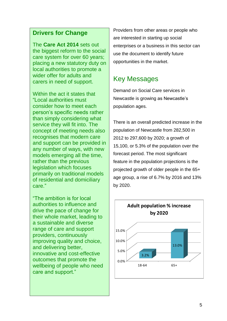The **Care Act 2014** sets out the biggest reform to the social care system for over 60 years; placing a new statutory duty on local authorities to promote a wider offer for adults and carers in need of support.

Within the act it states that "Local authorities must consider how to meet each person's specific needs rather than simply considering what service they will fit into. The concept of meeting needs also recognises that modern care and support can be provided in any number of ways, with new models emerging all the time, rather than the previous legislation which focuses primarily on traditional models of residential and domiciliary care."

"The ambition is for local authorities to influence and drive the pace of change for their whole market, leading to a sustainable and diverse range of care and support providers, continuously improving quality and choice, and delivering better, innovative and cost-effective outcomes that promote the wellbeing of people who need care and support."

Providers from other areas or people who are interested in starting up social enterprises or a business in this sector can use the document to identify future opportunities in the market.

# Key Messages

Demand on Social Care services in Newcastle is growing as Newcastle's population ages.

There is an overall predicted increase in the population of Newcastle from 282,500 in 2012 to 297,600 by 2020; a growth of 15,100, or 5.3% of the population over the forecast period. The most significant feature in the population projections is the projected growth of older people in the 65+ age group, a rise of 6.7% by 2016 and 13% by 2020.

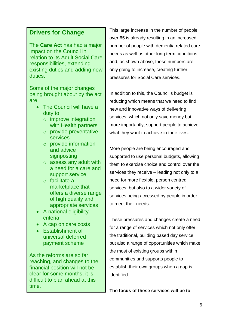The **Care Act** has had a major impact on the Council in relation to its Adult Social Care responsibilities, extending existing duties and adding new duties.

Some of the major changes being brought about by the act are:

- The Council will have a duty to;
	- o improve integration with Health partners
	- o provide preventative services
	- o provide information and advice signposting
	- o assess any adult with a need for a care and support service
	- o facilitate a marketplace that offers a diverse range of high quality and appropriate services
- A national eligibility criteria
- A cap on care costs
- Establishment of universal deferred payment scheme

As the reforms are so far reaching, and changes to the financial position will not be clear for some months, it is difficult to plan ahead at this time.

This large increase in the number of people over 65 is already resulting in an increased number of people with dementia related care needs as well as other long term conditions and, as shown above, these numbers are only going to increase, creating further pressures for Social Care services.

In addition to this, the Council's budget is reducing which means that we need to find new and innovative ways of delivering services, which not only save money but, more importantly, support people to achieve what they want to achieve in their lives.

More people are being encouraged and supported to use personal budgets, allowing them to exercise choice and control over the services they receive – leading not only to a need for more flexible, person centred services, but also to a wider variety of services being accessed by people in order to meet their needs.

These pressures and changes create a need for a range of services which not only offer the traditional, building based day service, but also a range of opportunities which make the most of existing groups within communities and supports people to establish their own groups when a gap is identified.

**The focus of these services will be to**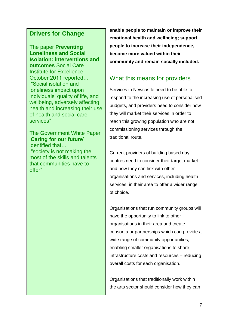The paper **Preventing Loneliness and Social Isolation: interventions and outcomes** Social Care Institute for Excellence - October 2011 reported… "Social isolation and loneliness impact upon individuals' quality of life, and wellbeing, adversely affecting health and increasing their use of health and social care services"

The Government White Paper '**Caring for our future**' identified that…

"society is not making the most of the skills and talents that communities have to offer"

**enable people to maintain or improve their emotional health and wellbeing; support people to increase their independence, become more valued within their community and remain socially included.** 

#### What this means for providers

Services in Newcastle need to be able to respond to the increasing use of personalised budgets, and providers need to consider how they will market their services in order to reach this growing population who are not commissioning services through the traditional route.

Current providers of building based day centres need to consider their target market and how they can link with other organisations and services, including health services, in their area to offer a wider range of choice.

Organisations that run community groups will have the opportunity to link to other organisations in their area and create consortia or partnerships which can provide a wide range of community opportunities, enabling smaller organisations to share infrastructure costs and resources – reducing overall costs for each organisation.

Organisations that traditionally work within the arts sector should consider how they can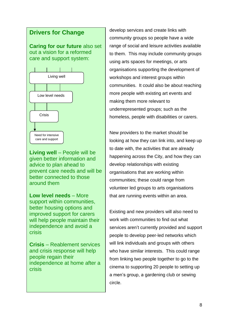**Caring for our future** also set out a vision for a reformed care and support system:



**Living well** – People will be given better information and advice to plan ahead to prevent care needs and will be better connected to those around them

**Low level needs** – More support within communities, better housing options and improved support for carers will help people maintain their independence and avoid a crisis

**Crisis** – Reablement services and crisis response will help people regain their independence at home after a crisis

develop services and create links with community groups so people have a wide range of social and leisure activities available to them. This may include community groups using arts spaces for meetings, or arts organisations supporting the development of workshops and interest groups within communities. It could also be about reaching more people with existing art events and making them more relevant to underrepresented groups; such as the homeless, people with disabilities or carers.

New providers to the market should be looking at how they can link into, and keep up to date with, the activities that are already happening across the City, and how they can develop relationships with existing organisations that are working within communities; these could range from volunteer led groups to arts organisations that are running events within an area.

Existing and new providers will also need to work with communities to find out what services aren't currently provided and support people to develop peer-led networks which will link individuals and groups with others who have similar interests. This could range from linking two people together to go to the cinema to supporting 20 people to setting up a men's group, a gardening club or sewing circle.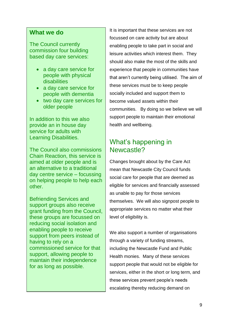#### **What we do**

The Council currently commission four building based day care services:

- a day care service for people with physical disabilities
- a day care service for people with dementia
- two day care services for older people

In addition to this we also provide an in house day service for adults with Learning Disabilities.

The Council also commissions Chain Reaction, this service is aimed at older people and is an alternative to a traditional day centre service – focussing on helping people to help each other.

Befriending Services and support groups also receive grant funding from the Council, these groups are focussed on reducing social isolation and enabling people to receive support from peers instead of having to rely on a commissioned service for that support, allowing people to maintain their independence for as long as possible.

It is important that these services are not focussed on care activity but are about enabling people to take part in social and leisure activities which interest them. They should also make the most of the skills and experience that people in communities have that aren't currently being utilised. The aim of these services must be to keep people socially included and support them to become valued assets within their communities. By doing so we believe we will support people to maintain their emotional health and wellbeing.

## What's happening in Newcastle?

Changes brought about by the Care Act mean that Newcastle City Council funds social care for people that are deemed as eligible for services and financially assessed as unable to pay for those services themselves. We will also signpost people to appropriate services no matter what their level of eligibility is.

We also support a number of organisations through a variety of funding streams, including the Newcastle Fund and Public Health monies. Many of these services support people that would not be eligible for services, either in the short or long term, and these services prevent people's needs escalating thereby reducing demand on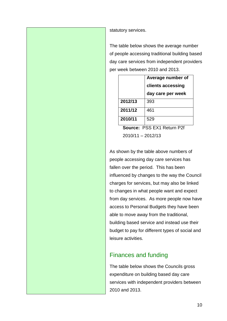statutory services.

The table below shows the average number of people accessing traditional building based day care services from independent providers per week between 2010 and 2013.

|         | Average number of |
|---------|-------------------|
|         | clients accessing |
|         | day care per week |
| 2012/13 | 393               |
| 2011/12 | 461               |
| 2010/11 | 529               |

**Source:** PSS EX1 Return P2f 2010/11 – 2012/13

As shown by the table above numbers of people accessing day care services has fallen over the period. This has been influenced by changes to the way the Council charges for services, but may also be linked to changes in what people want and expect from day services. As more people now have access to Personal Budgets they have been able to move away from the traditional, building based service and instead use their budget to pay for different types of social and leisure activities.

### Finances and funding

The table below shows the Councils gross expenditure on building based day care services with independent providers between 2010 and 2013.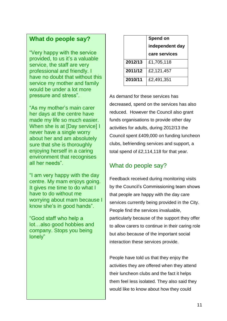#### **What do people say?**

"Very happy with the service provided, to us it's a valuable service, the staff are very professional and friendly. I have no doubt that without this service my mother and family would be under a lot more pressure and stress".

"As my mother's main carer her days at the centre have made my life so much easier. When she is at [Day service] I never have a single worry about her and am absolutely sure that she is thoroughly enjoying herself in a caring environment that recognises all her needs".

"I am very happy with the day centre. My mam enjoys going. It gives me time to do what I have to do without me worrying about mam because I know she's in good hands".

"Good staff who help a lot…also good hobbies and company. Stops you being lonely"

|         | Spend on        |
|---------|-----------------|
|         | independent day |
|         | care services   |
| 2012/13 | £1,705,118      |
| 2011/12 | £2,121,457      |
| 2010/11 | £2,491,351      |

As demand for these services has decreased, spend on the services has also reduced. However the Council also grant funds organisations to provide other day activities for adults, during 2012/13 the Council spent £409,000 on funding luncheon clubs, befriending services and support, a total spend of £2,114,118 for that year.

## What do people say?

Feedback received during monitoring visits by the Council's Commissioning team shows that people are happy with the day care services currently being provided in the City. People find the services invaluable, particularly because of the support they offer to allow carers to continue in their caring role but also because of the important social interaction these services provide.

People have told us that they enjoy the activities they are offered when they attend their luncheon clubs and the fact it helps them feel less isolated. They also said they would like to know about how they could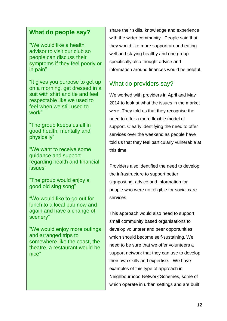### **What do people say?**

"We would like a health advisor to visit our club so people can discuss their symptoms if they feel poorly or in pain"

"It gives you purpose to get up on a morning, get dressed in a suit with shirt and tie and feel respectable like we used to feel when we still used to work"

"The group keeps us all in good health, mentally and physically"

"We want to receive some guidance and support regarding health and financial issues"

"The group would enjoy a good old sing song"

"We would like to go out for lunch to a local pub now and again and have a change of scenery"

"We would enjoy more outings and arranged trips to somewhere like the coast, the theatre, a restaurant would be nice"

share their skills, knowledge and experience with the wider community. People said that they would like more support around eating well and staying healthy and one group specifically also thought advice and information around finances would be helpful.

## What do providers say?

We worked with providers in April and May 2014 to look at what the issues in the market were. They told us that they recognise the need to offer a more flexible model of support. Clearly identifying the need to offer services over the weekend as people have told us that they feel particularly vulnerable at this time.

Providers also identified the need to develop the infrastructure to support better signposting, advice and information for people who were not eligible for social care services

This approach would also need to support small community based organisations to develop volunteer and peer opportunities which should become self-sustaining. We need to be sure that we offer volunteers a support network that they can use to develop their own skills and expertise. We have examples of this type of approach in Neighbourhood Network Schemes, some of which operate in urban settings and are built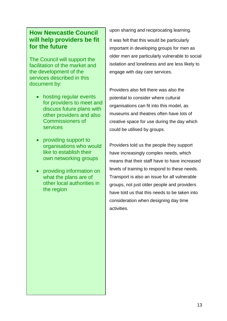### **How Newcastle Council will help providers be fit for the future**

The Council will support the facilitation of the market and the development of the services described in this document by:

- hosting regular events for providers to meet and discuss future plans with other providers and also Commissioners of services
- providing support to organisations who would like to establish their own networking groups
- providing information on what the plans are of other local authorities in the region

upon sharing and reciprocating learning.

It was felt that this would be particularly important in developing groups for men as older men are particularly vulnerable to social isolation and loneliness and are less likely to engage with day care services.

Providers also felt there was also the potential to consider where cultural organisations can fit into this model, as museums and theatres often have lots of creative space for use during the day which could be utilised by groups.

Providers told us the people they support have increasingly complex needs, which means that their staff have to have increased levels of training to respond to these needs. Transport is also an issue for all vulnerable groups, not just older people and providers have told us that this needs to be taken into consideration when designing day time activities.